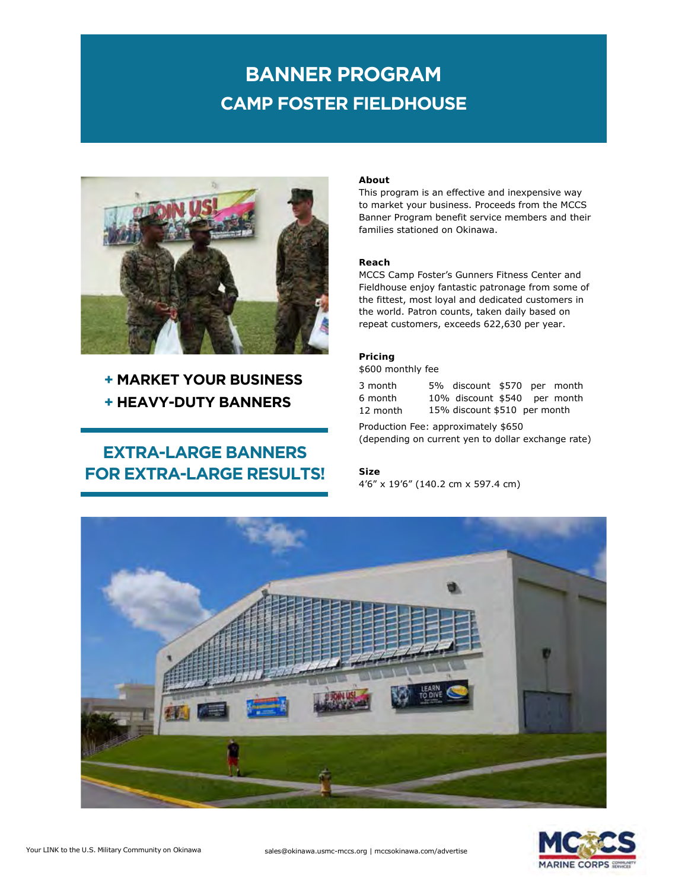# **CAMP FOSTER FIELDHOUSE BANNER PROGRAM**



### **+ MARKET YOUR BUSINESS + HEAVY-DUTY BANNERS**

## **EXTRA-LARGE BANNERS FOR EXTRA-LARGE RESULTS!**

#### **About**

This program is an effective and inexpensive way to market your business. Proceeds from the MCCS Banner Program benefit service members and their families stationed on Okinawa.

### **Reach**

MCCS Camp Foster's Gunners Fitness Center and Fieldhouse enjoy fantastic patronage from some of the fittest, most loyal and dedicated customers in the world. Patron counts, taken daily based on repeat customers, exceeds 622,630 per year.

### **Pricing** \$600 monthly fee

| 3 month  | 5% discount \$570 per month  |  |  |
|----------|------------------------------|--|--|
| 6 month  | 10% discount \$540 per month |  |  |
| 12 month | 15% discount \$510 per month |  |  |

Production Fee: approximately \$650 (depending on current yen to dollar exchange rate)

### **Size** 4'6" x 19'6" (140.2 cm x 597.4 cm)